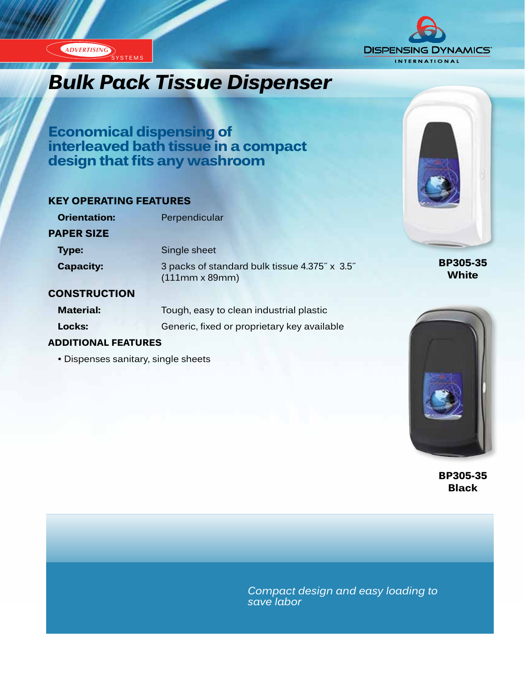

# *Bulk Pack Tissue Dispenser*

**Economical dispensing of interleaved bath tissue in a compact design that fits any washroom**

### **KEY OPERATING FEATURES**

| <b>Orientation:</b> | Perpendicular                                                          |
|---------------------|------------------------------------------------------------------------|
| <b>PAPER SIZE</b>   |                                                                        |
| <b>Type:</b>        | Single sheet                                                           |
| <b>Capacity:</b>    | 3 packs of standard bulk tissue 4.375" x 3.5"<br>$(111mm \times 89mm)$ |
| AANATRUATIANI       |                                                                        |

### **CONSTRUCTION**

ADVERTISING SYSTEMS

| <b>Material:</b> | Tough, easy to clean industrial plastic     |
|------------------|---------------------------------------------|
| Locks:           | Generic, fixed or proprietary key available |

### **ADDITIONAL FEATURES**

• Dispenses sanitary, single sheets



**BP305-35 White**



**BP305-35 Black**

*Compact design and easy loading to save labor*